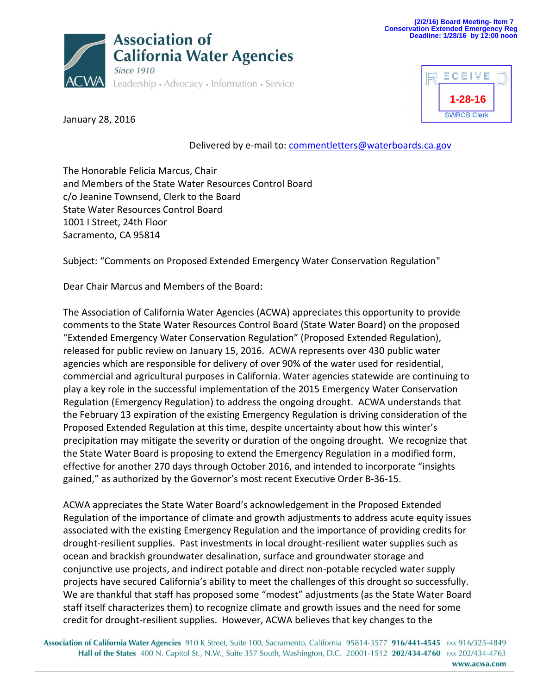



January 28, 2016

Delivered by e-mail to: [commentletters@waterboards.ca.gov](mailto:commentletters@waterboards.ca.gov)

The Honorable Felicia Marcus, Chair and Members of the State Water Resources Control Board c/o Jeanine Townsend, Clerk to the Board State Water Resources Control Board 1001 I Street, 24th Floor Sacramento, CA 95814

Subject: "Comments on Proposed Extended Emergency Water Conservation Regulation"

Dear Chair Marcus and Members of the Board:

The Association of California Water Agencies (ACWA) appreciates this opportunity to provide comments to the State Water Resources Control Board (State Water Board) on the proposed "Extended Emergency Water Conservation Regulation" (Proposed Extended Regulation), released for public review on January 15, 2016. ACWA represents over 430 public water agencies which are responsible for delivery of over 90% of the water used for residential, commercial and agricultural purposes in California. Water agencies statewide are continuing to play a key role in the successful implementation of the 2015 Emergency Water Conservation Regulation (Emergency Regulation) to address the ongoing drought. ACWA understands that the February 13 expiration of the existing Emergency Regulation is driving consideration of the Proposed Extended Regulation at this time, despite uncertainty about how this winter's precipitation may mitigate the severity or duration of the ongoing drought. We recognize that the State Water Board is proposing to extend the Emergency Regulation in a modified form, effective for another 270 days through October 2016, and intended to incorporate "insights gained," as authorized by the Governor's most recent Executive Order B-36-15.

ACWA appreciates the State Water Board's acknowledgement in the Proposed Extended Regulation of the importance of climate and growth adjustments to address acute equity issues associated with the existing Emergency Regulation and the importance of providing credits for drought-resilient supplies. Past investments in local drought-resilient water supplies such as ocean and brackish groundwater desalination, surface and groundwater storage and conjunctive use projects, and indirect potable and direct non-potable recycled water supply projects have secured California's ability to meet the challenges of this drought so successfully. We are thankful that staff has proposed some "modest" adjustments (as the State Water Board staff itself characterizes them) to recognize climate and growth issues and the need for some credit for drought-resilient supplies. However, ACWA believes that key changes to the

Association of California Water Agencies 910 K Street, Suite 100, Sacramento, California 95814-3577 916/441-4545 FAX 916/325-4849 Hall of the States 400 N. Capitol St., N.W., Suite 357 South, Washington, D.C. 20001-1512 202/434-4760 FAX 202/434-4763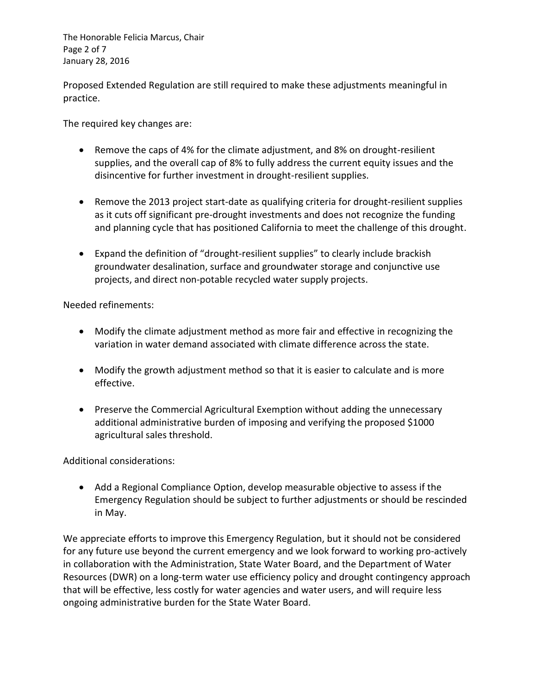The Honorable Felicia Marcus, Chair Page 2 of 7 January 28, 2016

Proposed Extended Regulation are still required to make these adjustments meaningful in practice.

The required key changes are:

- Remove the caps of 4% for the climate adjustment, and 8% on drought-resilient supplies, and the overall cap of 8% to fully address the current equity issues and the disincentive for further investment in drought-resilient supplies.
- Remove the 2013 project start-date as qualifying criteria for drought-resilient supplies as it cuts off significant pre-drought investments and does not recognize the funding and planning cycle that has positioned California to meet the challenge of this drought.
- Expand the definition of "drought-resilient supplies" to clearly include brackish groundwater desalination, surface and groundwater storage and conjunctive use projects, and direct non-potable recycled water supply projects.

Needed refinements:

- Modify the climate adjustment method as more fair and effective in recognizing the variation in water demand associated with climate difference across the state.
- Modify the growth adjustment method so that it is easier to calculate and is more effective.
- Preserve the Commercial Agricultural Exemption without adding the unnecessary additional administrative burden of imposing and verifying the proposed \$1000 agricultural sales threshold.

Additional considerations:

 Add a Regional Compliance Option, develop measurable objective to assess if the Emergency Regulation should be subject to further adjustments or should be rescinded in May.

We appreciate efforts to improve this Emergency Regulation, but it should not be considered for any future use beyond the current emergency and we look forward to working pro-actively in collaboration with the Administration, State Water Board, and the Department of Water Resources (DWR) on a long-term water use efficiency policy and drought contingency approach that will be effective, less costly for water agencies and water users, and will require less ongoing administrative burden for the State Water Board.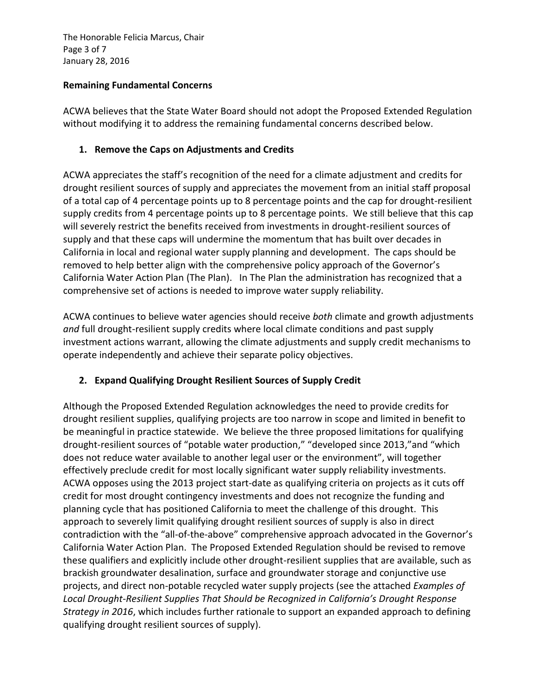The Honorable Felicia Marcus, Chair Page 3 of 7 January 28, 2016

#### **Remaining Fundamental Concerns**

ACWA believes that the State Water Board should not adopt the Proposed Extended Regulation without modifying it to address the remaining fundamental concerns described below.

### **1. Remove the Caps on Adjustments and Credits**

ACWA appreciates the staff's recognition of the need for a climate adjustment and credits for drought resilient sources of supply and appreciates the movement from an initial staff proposal of a total cap of 4 percentage points up to 8 percentage points and the cap for drought-resilient supply credits from 4 percentage points up to 8 percentage points. We still believe that this cap will severely restrict the benefits received from investments in drought-resilient sources of supply and that these caps will undermine the momentum that has built over decades in California in local and regional water supply planning and development. The caps should be removed to help better align with the comprehensive policy approach of the Governor's California Water Action Plan (The Plan). In The Plan the administration has recognized that a comprehensive set of actions is needed to improve water supply reliability.

ACWA continues to believe water agencies should receive *both* climate and growth adjustments *and* full drought-resilient supply credits where local climate conditions and past supply investment actions warrant, allowing the climate adjustments and supply credit mechanisms to operate independently and achieve their separate policy objectives.

# **2. Expand Qualifying Drought Resilient Sources of Supply Credit**

Although the Proposed Extended Regulation acknowledges the need to provide credits for drought resilient supplies, qualifying projects are too narrow in scope and limited in benefit to be meaningful in practice statewide. We believe the three proposed limitations for qualifying drought-resilient sources of "potable water production," "developed since 2013,"and "which does not reduce water available to another legal user or the environment", will together effectively preclude credit for most locally significant water supply reliability investments. ACWA opposes using the 2013 project start-date as qualifying criteria on projects as it cuts off credit for most drought contingency investments and does not recognize the funding and planning cycle that has positioned California to meet the challenge of this drought. This approach to severely limit qualifying drought resilient sources of supply is also in direct contradiction with the "all-of-the-above" comprehensive approach advocated in the Governor's California Water Action Plan. The Proposed Extended Regulation should be revised to remove these qualifiers and explicitly include other drought-resilient supplies that are available, such as brackish groundwater desalination, surface and groundwater storage and conjunctive use projects, and direct non-potable recycled water supply projects (see the attached *Examples of Local Drought-Resilient Supplies That Should be Recognized in California's Drought Response Strategy in 2016*, which includes further rationale to support an expanded approach to defining qualifying drought resilient sources of supply).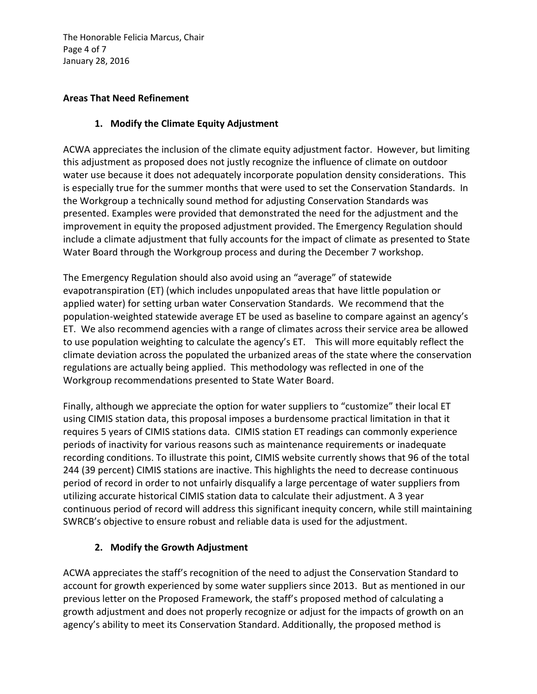The Honorable Felicia Marcus, Chair Page 4 of 7 January 28, 2016

#### **Areas That Need Refinement**

### **1. Modify the Climate Equity Adjustment**

ACWA appreciates the inclusion of the climate equity adjustment factor. However, but limiting this adjustment as proposed does not justly recognize the influence of climate on outdoor water use because it does not adequately incorporate population density considerations. This is especially true for the summer months that were used to set the Conservation Standards. In the Workgroup a technically sound method for adjusting Conservation Standards was presented. Examples were provided that demonstrated the need for the adjustment and the improvement in equity the proposed adjustment provided. The Emergency Regulation should include a climate adjustment that fully accounts for the impact of climate as presented to State Water Board through the Workgroup process and during the December 7 workshop.

The Emergency Regulation should also avoid using an "average" of statewide evapotranspiration (ET) (which includes unpopulated areas that have little population or applied water) for setting urban water Conservation Standards. We recommend that the population-weighted statewide average ET be used as baseline to compare against an agency's ET. We also recommend agencies with a range of climates across their service area be allowed to use population weighting to calculate the agency's ET. This will more equitably reflect the climate deviation across the populated the urbanized areas of the state where the conservation regulations are actually being applied. This methodology was reflected in one of the Workgroup recommendations presented to State Water Board.

Finally, although we appreciate the option for water suppliers to "customize" their local ET using CIMIS station data, this proposal imposes a burdensome practical limitation in that it requires 5 years of CIMIS stations data. CIMIS station ET readings can commonly experience periods of inactivity for various reasons such as maintenance requirements or inadequate recording conditions. To illustrate this point, CIMIS website currently shows that 96 of the total 244 (39 percent) CIMIS stations are inactive. This highlights the need to decrease continuous period of record in order to not unfairly disqualify a large percentage of water suppliers from utilizing accurate historical CIMIS station data to calculate their adjustment. A 3 year continuous period of record will address this significant inequity concern, while still maintaining SWRCB's objective to ensure robust and reliable data is used for the adjustment.

# **2. Modify the Growth Adjustment**

ACWA appreciates the staff's recognition of the need to adjust the Conservation Standard to account for growth experienced by some water suppliers since 2013. But as mentioned in our previous letter on the Proposed Framework, the staff's proposed method of calculating a growth adjustment and does not properly recognize or adjust for the impacts of growth on an agency's ability to meet its Conservation Standard. Additionally, the proposed method is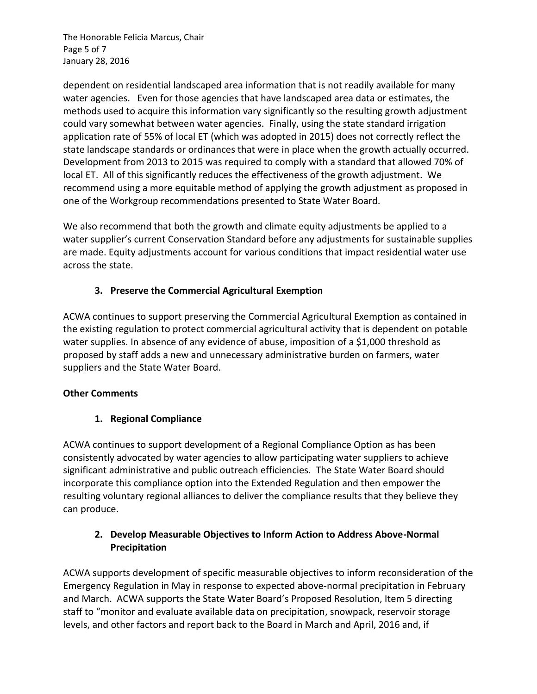The Honorable Felicia Marcus, Chair Page 5 of 7 January 28, 2016

dependent on residential landscaped area information that is not readily available for many water agencies. Even for those agencies that have landscaped area data or estimates, the methods used to acquire this information vary significantly so the resulting growth adjustment could vary somewhat between water agencies. Finally, using the state standard irrigation application rate of 55% of local ET (which was adopted in 2015) does not correctly reflect the state landscape standards or ordinances that were in place when the growth actually occurred. Development from 2013 to 2015 was required to comply with a standard that allowed 70% of local ET. All of this significantly reduces the effectiveness of the growth adjustment. We recommend using a more equitable method of applying the growth adjustment as proposed in one of the Workgroup recommendations presented to State Water Board.

We also recommend that both the growth and climate equity adjustments be applied to a water supplier's current Conservation Standard before any adjustments for sustainable supplies are made. Equity adjustments account for various conditions that impact residential water use across the state.

### **3. Preserve the Commercial Agricultural Exemption**

ACWA continues to support preserving the Commercial Agricultural Exemption as contained in the existing regulation to protect commercial agricultural activity that is dependent on potable water supplies. In absence of any evidence of abuse, imposition of a \$1,000 threshold as proposed by staff adds a new and unnecessary administrative burden on farmers, water suppliers and the State Water Board.

#### **Other Comments**

# **1. Regional Compliance**

ACWA continues to support development of a Regional Compliance Option as has been consistently advocated by water agencies to allow participating water suppliers to achieve significant administrative and public outreach efficiencies. The State Water Board should incorporate this compliance option into the Extended Regulation and then empower the resulting voluntary regional alliances to deliver the compliance results that they believe they can produce.

### **2. Develop Measurable Objectives to Inform Action to Address Above-Normal Precipitation**

ACWA supports development of specific measurable objectives to inform reconsideration of the Emergency Regulation in May in response to expected above-normal precipitation in February and March. ACWA supports the State Water Board's Proposed Resolution, Item 5 directing staff to "monitor and evaluate available data on precipitation, snowpack, reservoir storage levels, and other factors and report back to the Board in March and April, 2016 and, if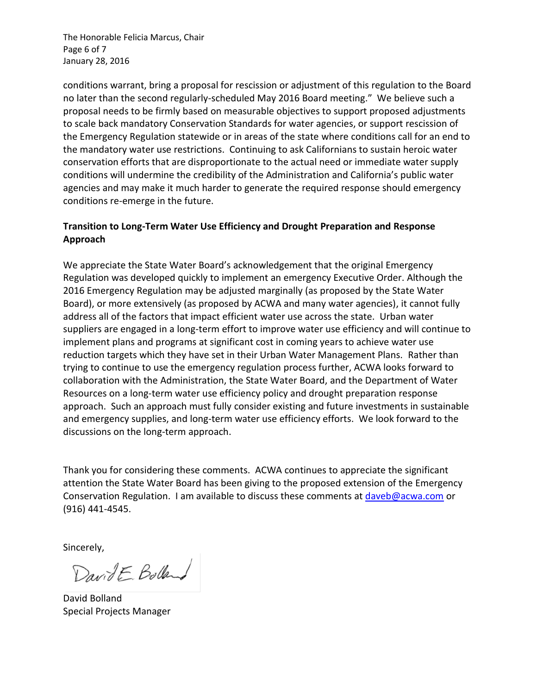The Honorable Felicia Marcus, Chair Page 6 of 7 January 28, 2016

conditions warrant, bring a proposal for rescission or adjustment of this regulation to the Board no later than the second regularly-scheduled May 2016 Board meeting." We believe such a proposal needs to be firmly based on measurable objectives to support proposed adjustments to scale back mandatory Conservation Standards for water agencies, or support rescission of the Emergency Regulation statewide or in areas of the state where conditions call for an end to the mandatory water use restrictions. Continuing to ask Californians to sustain heroic water conservation efforts that are disproportionate to the actual need or immediate water supply conditions will undermine the credibility of the Administration and California's public water agencies and may make it much harder to generate the required response should emergency conditions re-emerge in the future.

### **Transition to Long-Term Water Use Efficiency and Drought Preparation and Response Approach**

We appreciate the State Water Board's acknowledgement that the original Emergency Regulation was developed quickly to implement an emergency Executive Order. Although the 2016 Emergency Regulation may be adjusted marginally (as proposed by the State Water Board), or more extensively (as proposed by ACWA and many water agencies), it cannot fully address all of the factors that impact efficient water use across the state. Urban water suppliers are engaged in a long-term effort to improve water use efficiency and will continue to implement plans and programs at significant cost in coming years to achieve water use reduction targets which they have set in their Urban Water Management Plans. Rather than trying to continue to use the emergency regulation process further, ACWA looks forward to collaboration with the Administration, the State Water Board, and the Department of Water Resources on a long-term water use efficiency policy and drought preparation response approach. Such an approach must fully consider existing and future investments in sustainable and emergency supplies, and long-term water use efficiency efforts. We look forward to the discussions on the long-term approach.

Thank you for considering these comments. ACWA continues to appreciate the significant attention the State Water Board has been giving to the proposed extension of the Emergency Conservation Regulation. I am available to discuss these comments at [daveb@acwa.com](mailto:daveb@acwa.com) or (916) 441-4545.

Sincerely,

DavidE Bolland

David Bolland Special Projects Manager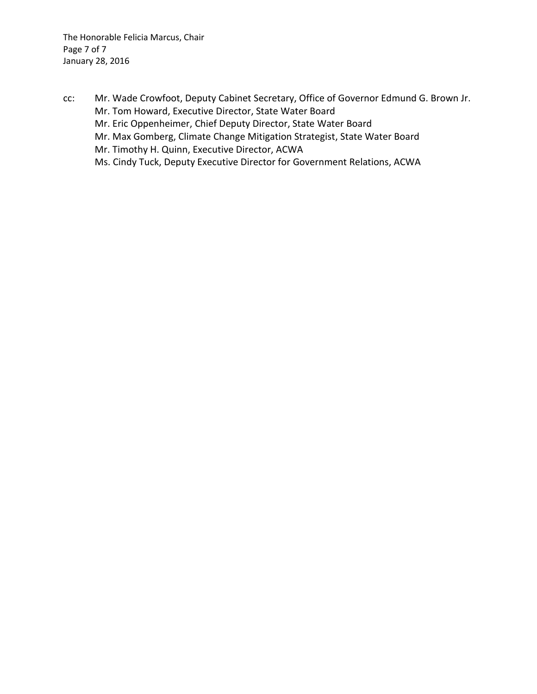cc: Mr. Wade Crowfoot, Deputy Cabinet Secretary, Office of Governor Edmund G. Brown Jr. Mr. Tom Howard, Executive Director, State Water Board Mr. Eric Oppenheimer, Chief Deputy Director, State Water Board Mr. Max Gomberg, Climate Change Mitigation Strategist, State Water Board Mr. Timothy H. Quinn, Executive Director, ACWA Ms. Cindy Tuck, Deputy Executive Director for Government Relations, ACWA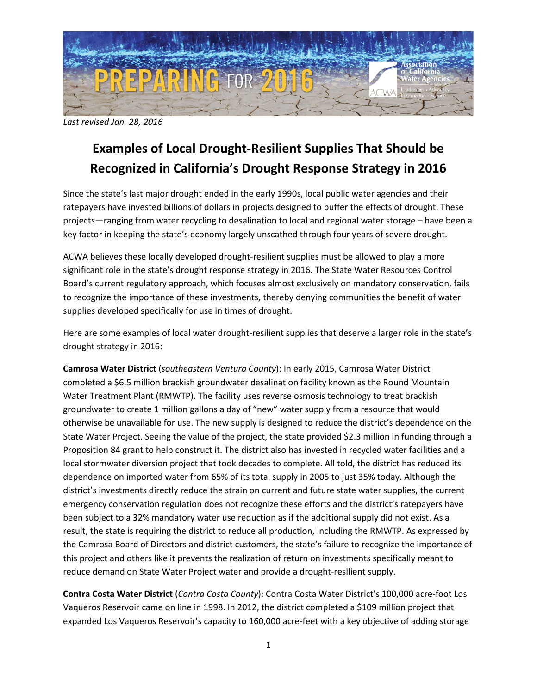

*Last revised Jan. 28, 2016*

# **Examples of Local Drought-Resilient Supplies That Should be Recognized in California's Drought Response Strategy in 2016**

Since the state's last major drought ended in the early 1990s, local public water agencies and their ratepayers have invested billions of dollars in projects designed to buffer the effects of drought. These projects—ranging from water recycling to desalination to local and regional water storage – have been a key factor in keeping the state's economy largely unscathed through four years of severe drought.

ACWA believes these locally developed drought-resilient supplies must be allowed to play a more significant role in the state's drought response strategy in 2016. The State Water Resources Control Board's current regulatory approach, which focuses almost exclusively on mandatory conservation, fails to recognize the importance of these investments, thereby denying communities the benefit of water supplies developed specifically for use in times of drought.

Here are some examples of local water drought-resilient supplies that deserve a larger role in the state's drought strategy in 2016:

**Camrosa Water District** (*southeastern Ventura County*): In early 2015, Camrosa Water District completed a \$6.5 million brackish groundwater desalination facility known as the Round Mountain Water Treatment Plant (RMWTP). The facility uses reverse osmosis technology to treat brackish groundwater to create 1 million gallons a day of "new" water supply from a resource that would otherwise be unavailable for use. The new supply is designed to reduce the district's dependence on the State Water Project. Seeing the value of the project, the state provided \$2.3 million in funding through a Proposition 84 grant to help construct it. The district also has invested in recycled water facilities and a local stormwater diversion project that took decades to complete. All told, the district has reduced its dependence on imported water from 65% of its total supply in 2005 to just 35% today. Although the district's investments directly reduce the strain on current and future state water supplies, the current emergency conservation regulation does not recognize these efforts and the district's ratepayers have been subject to a 32% mandatory water use reduction as if the additional supply did not exist. As a result, the state is requiring the district to reduce all production, including the RMWTP. As expressed by the Camrosa Board of Directors and district customers, the state's failure to recognize the importance of this project and others like it prevents the realization of return on investments specifically meant to reduce demand on State Water Project water and provide a drought-resilient supply.

**Contra Costa Water District** (*Contra Costa County*): Contra Costa Water District's 100,000 acre-foot Los Vaqueros Reservoir came on line in 1998. In 2012, the district completed a \$109 million project that expanded Los Vaqueros Reservoir's capacity to 160,000 acre-feet with a key objective of adding storage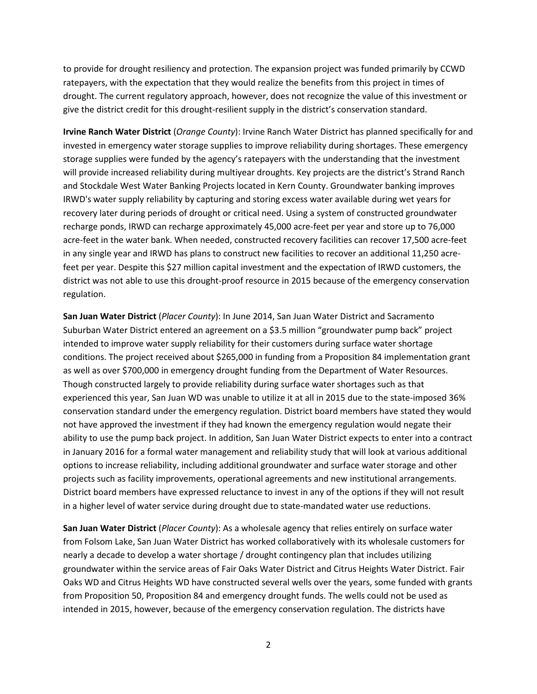to provide for drought resiliency and protection. The expansion project was funded primarily by CCWD ratepayers, with the expectation that they would realize the benefits from this project in times of drought. The current regulatory approach, however, does not recognize the value of this investment or give the district credit for this drought-resilient supply in the district's conservation standard.

**Irvine Ranch Water District** (*Orange County*): Irvine Ranch Water District has planned specifically for and invested in emergency water storage supplies to improve reliability during shortages. These emergency storage supplies were funded by the agency's ratepayers with the understanding that the investment will provide increased reliability during multiyear droughts. Key projects are the district's Strand Ranch and Stockdale West Water Banking Projects located in Kern County. Groundwater banking improves IRWD's water supply reliability by capturing and storing excess water available during wet years for recovery later during periods of drought or critical need. Using a system of constructed groundwater recharge ponds, IRWD can recharge approximately 45,000 acre-feet per year and store up to 76,000 acre-feet in the water bank. When needed, constructed recovery facilities can recover 17,500 acre-feet in any single year and IRWD has plans to construct new facilities to recover an additional 11,250 acrefeet per year. Despite this \$27 million capital investment and the expectation of IRWD customers, the district was not able to use this drought-proof resource in 2015 because of the emergency conservation regulation.

**San Juan Water District** (*Placer County*): In June 2014, San Juan Water District and Sacramento Suburban Water District entered an agreement on a \$3.5 million "groundwater pump back" project intended to improve water supply reliability for their customers during surface water shortage conditions. The project received about \$265,000 in funding from a Proposition 84 implementation grant as well as over \$700,000 in emergency drought funding from the Department of Water Resources. Though constructed largely to provide reliability during surface water shortages such as that experienced this year, San Juan WD was unable to utilize it at all in 2015 due to the state-imposed 36% conservation standard under the emergency regulation. District board members have stated they would not have approved the investment if they had known the emergency regulation would negate their ability to use the pump back project. In addition, San Juan Water District expects to enter into a contract in January 2016 for a formal water management and reliability study that will look at various additional options to increase reliability, including additional groundwater and surface water storage and other projects such as facility improvements, operational agreements and new institutional arrangements. District board members have expressed reluctance to invest in any of the options if they will not result in a higher level of water service during drought due to state-mandated water use reductions.

**San Juan Water District** (*Placer County*): As a wholesale agency that relies entirely on surface water from Folsom Lake, San Juan Water District has worked collaboratively with its wholesale customers for nearly a decade to develop a water shortage / drought contingency plan that includes utilizing groundwater within the service areas of Fair Oaks Water District and Citrus Heights Water District. Fair Oaks WD and Citrus Heights WD have constructed several wells over the years, some funded with grants from Proposition 50, Proposition 84 and emergency drought funds. The wells could not be used as intended in 2015, however, because of the emergency conservation regulation. The districts have